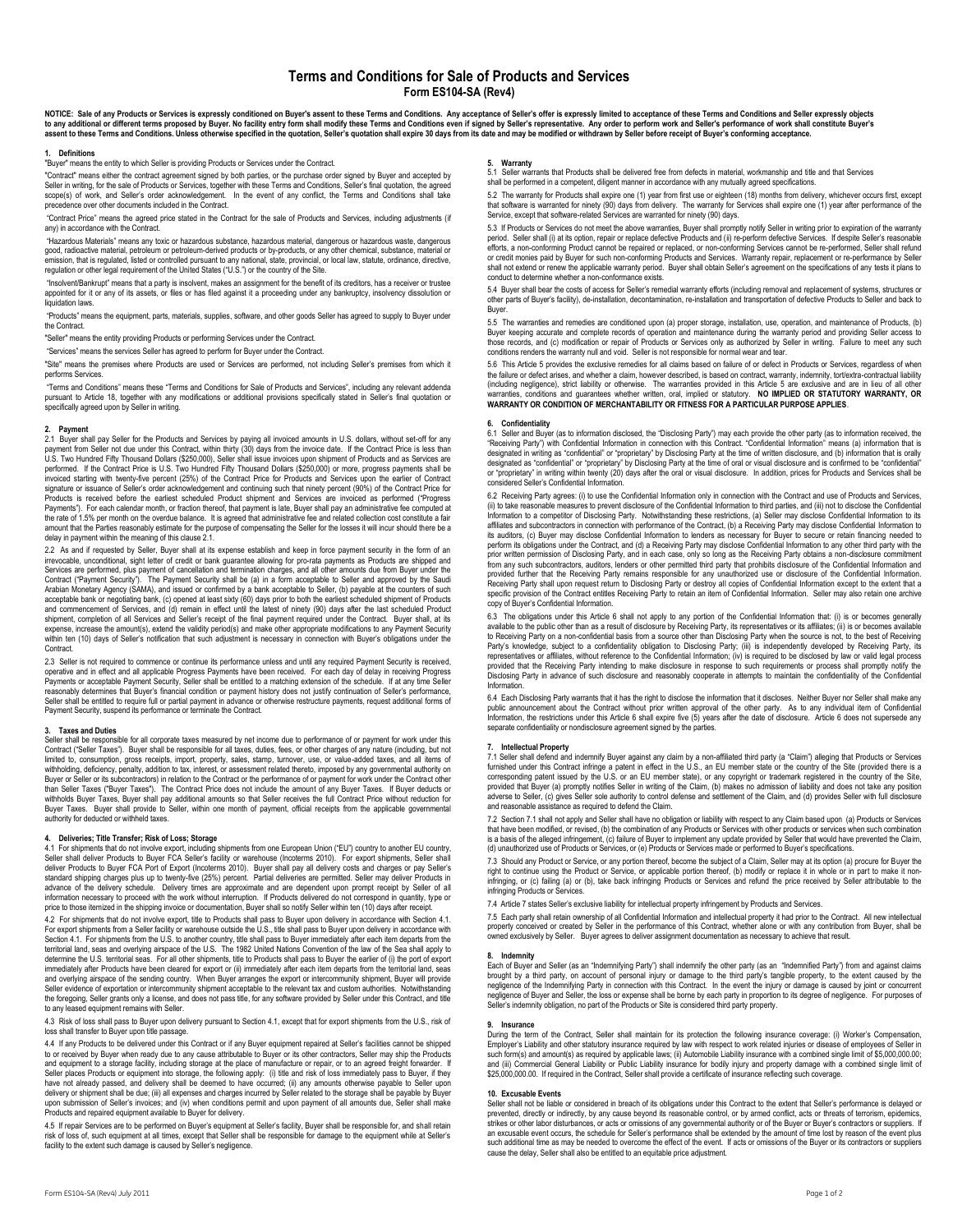# **Terms and Conditions for Sale of Products and Services Form ES104-SA (Rev4)**

NOTICE: Sale of any Products or Services is expressly conditioned on Buyer's assent to these Terms and Conditions. Any acceptance of Seller's offer is expressly limited to acceptance of these Terms and Conditions and Selle

### **1. Definitions**

"Buyer" means the entity to which Seller is providing Products or Services under the Contract.

"Contract" means either the contract agreement signed by both parties, or the purchase order signed by Buyer and accepted by Seller in writing, for the sale of Products or Services, together with these Terms and Conditions, Seller's final quotation, the agreed scope(s) of work, and Seller's order acknowledgement. In the event of any conflict, the Terms and Conditions shall take precedence over other documents included in the Contract.

"Contract Price" means the agreed price stated in the Contract for the sale of Products and Services, including adjustments (if any) in accordance with the Contract.

"Hazardous Materials" means any toxic or hazardous substance, hazardous material, dangerous or hazardous waste, dangerous<br>good, radioactive material, petroleum or petroleum-derived products or by-products, or any other che emission, that is regulated, listed or controlled pursuant to any national, state, provincial, or local law, statute, ordinance, directive, regulation or other legal requirement of the United States ("U.S.") or the country of the Site.

"Insolvent/Bankrupt" means that a party is insolvent, makes an assignment for the benefit of its creditors, has a receiver or trustee appointed for it or any of its assets, or files or has filed against it a proceeding under any bankruptcy, insolvency dissolution or liquidation laws.

"Products" means the equipment, parts, materials, supplies, software, and other goods Seller has agreed to supply to Buyer under the Contract.

"Seller" means the entity providing Products or performing Services under the Contract.

"Services" means the services Seller has agreed to perform for Buyer under the Contract.

"Site" means the premises where Products are used or Services are performed, not including Seller's premises from which it performs Services.

"Terms and Conditions" means these "Terms and Conditions for Sale of Products and Services", including any relevant addenda<br>pursuant to Article 18, together with any modifications or additional provisions specifically stat

**2. Payment** 2.1 Buyer shall pay Seller for the Products and Services by paying all invoiced amounts in U.S. dollars, without set-off for any payment from Seller not due under this Contract, within thirty (30) days from the invoice date. If the Contract Price is less than<br>U.S. Two Hundred Fifty Thousand Dollars (\$250,000), Seller shall issue invoices upon shipme performed. If the Contract Price is U.S. Two Hundred Fifty Thousand Dollars (\$250,000) or more, progress payments shall be<br>invoiced starting with twenty-five percent (25%) of the Contract Price for Products and Services up Products is received before the earliest scheduled Product shipment and Services are invoiced as performed ("Progress<br>Payments"). For each calendar month, or fraction thereof, that payment is late. Buyer shall pay an admin Payments"). For each calendar month, or fraction thereof, that payment is late, Buyer shall pay an administrative fee co the rate of 1.5% per month on the overdue balance. It is agreed that administrative fee and related collection cost constitute a fair amount that the Parties reasonably estimate for the purpose of compensating the Seller for the losses it will incur should there be a delay in payment within the meaning of this clause 2.1.

2.2 As and if requested by Seller, Buyer shall at its expense establish and keep in force payment security in the form of an irrevocable, unconditional, sight letter of credit or bank guarantee allowing for pro-rata payments as Products are shipped and<br>Services are performed, plus payment of cancellation and termination charges, and all other am Contract ("Payment Security"). The Payment Security shall be (a) in a form acceptable to Seller and approved by the Saudi<br>Arabian Monetary Agency (SAMA), and issued or confirmed by a bank acceptable to Seller, (b) payable and commencement of Services, and (d) remain in effect until the latest of ninety (90) days after the last scheduled Product shipment, completion of all Services and Seller's receipt of the final payment required under the Contract. Buyer shall, at its<br>expense, increase the amount(s), extend the validity period(s) and make other appropriate modi within ten (10) days of Seller's notification that such adjustment is necessary in connection with Buyer's obligations under the Contract.

2.3 Seller is not required to commence or continue its performance unless and until any required Payment Security is received, operative and in effect and all applicable Progress Payments have been received. For each day of delay in receiving Progress<br>Payments or acceptable Payment Security, Seller shall be entitled to a matching extension of the onably determines that Buyer's financial condition or payment history does not justify continuation of Seller's performance, Seller shall be entitled to require full or partial payment in advance or otherwise restructure payments, request additional forms of Payment Security, suspend its performance or terminate the Contract.

**3. Taxes and Duties** Seller shall be responsible for all corporate taxes measured by net income due to performance of or payment for work under this Contract ("Seller Taxes"). Buyer shall be responsible for all taxes, duties, fees, or other charges of any nature (including, but not<br>limited to, consumption, gross receipts, import, property, sales, stamp, turnover, use, withholding, deficiency, penalty, addition to tax, interest, or assessment related thereto, imposed by any governmental authority on Buyer or Seller or its subcontractors) in relation to the Contract or the performance of or payment for work under the Contract other<br>than Seller Taxes ("Buyer Taxes"). The Contract Price does not include the amount of any than Seller Taxes ("Buyer Taxes"). The Contract Price does not include the amount of any Buyer Taxes. If Buyer deducts or<br>withholds Buyer Taxes, Buyer shall pay additional amounts so that Seller receives the full Contract

# **4. Deliveries; Title Transfer; Risk of Loss; Storage**

4.1 For shipments that do not involve export, including shipments from one European Union ("EU") country to another EU country,<br>Seller shall deliver Products to Buyer FCA Seller's facility or warehouse (Incoterms 2010). Fo standard shipping charges plus up to twenty-five (25%) percent. Partial deliveries are permitted. Seller may deliver Products in<br>advance of the delivery schedule. Delivery times are approximate and are dependent upon promp information necessary to proceed with the work without interruption. If Products delivered do not correspond in quantity, type or<br>price to those itemized in the shipping invoice or documentation, Buyer shall so notify Sell

4.2 For shipments that do not involve export, title to Products shall pass to Buyer upon delivery in accordance with Section 4.1. For export shipments from a Seller facility or warehouse outside the U.S., title shall pass to Buyer upon delivery in accordance with<br>Section 4.1. For shipments from the U.S. to another country, title shall pass to Buyer i determine the U.S. territorial seas. For all other shipments, title to Products shall pass to Buyer the earlier of (i) the port of export<br>immediately after Products have been cleared for export or (ii) immediately after ea and overlying airspace of the sending country. When Buyer arranges the export or intercommunity shipment, Buyer will provide<br>Seller evidence of exportation or intercommunity shipment acceptable to the relevant tax and cust the foregoing, Seller grants only a license, and does not pass title, for any software provided by Seller under this Contract, and title to any leased equipment remains with Seller.

4.3 Risk of loss shall pass to Buyer upon delivery pursuant to Section 4.1, except that for export shipments from the U.S., risk of loss shall transfer to Buyer upon title passage.

4.4 If any Products to be delivered under this Contract or if any Buyer equipment repaired at Seller's facilities cannot be shipped to or received by Buyer when ready due to any cause attributable to Buyer or its other contractors, Seller may ship the Products<br>and equipment to a storage facility, including storage at the place of manufacture or repair, Seller places Products or equipment into storage, the following apply: (i) title and risk of loss immediately pass to Buyer, if they<br>have not already passed, and delivery shall be deemed to have occurred; (ii) any amounts delivery or shipment shall be due; (iii) all expenses and charges incurred by Seller related to the storage shall be payable by Buyer upon submission of Seller's invoices; and (iv) when conditions permit and upon payment of all amounts due, Seller shall make<br>Products and repaired equipment available to Buyer for delivery.

4.5 If repair Services are to be performed on Buyer's equipment at Seller's facility, Buyer shall be responsible for, and shall retain risk of loss of, such equipment at all times, except that Seller shall be responsible for damage to the equipment while at Seller's facility to the extent such damage is caused by Seller's negligence.

### **5. Warranty**

5.1 Seller warrants that Products shall be delivered free from defects in material, workmanship and title and that Services shall be performed in a competent, diligent manner in accordance with any mutually agreed specifications.

5.2 The warranty for Products shall expire one (1) year from first use or eighteen (18) months from delivery, whichever occurs first, except that software is warranted for ninety (90) days from delivery. The warranty for Services shall expire one (1) year after performance of the<br>Service, except that software-related Services are warranted for ninety (90) days.

5.3 If Products or Services do not meet the above warranties, Buyer shall promptly notify Seller in writing prior to expiration of the warranty<br>period. Seller shall (i) at its option, repair or replace defective Products a period. Seller shall (i) at its option, repair or replace defective Products and (ii) re-perform defective Services. efforts, a non-conforming Product cannot be repaired or replaced, or non-conforming Services cannot be re-performed, Seller shall refund or credit monies paid by Buyer for such non-conforming Products and Services. Warranty repair, replacement or re-performance by Seller shall not extend or renew the applicable warranty period. Buyer shall obtain Seller's agreement on the specifications of any tests it plans to conduct to determine whether a non-conformance exists.

5.4 Buyer shall bear the costs of access for Seller's remedial warranty efforts (including removal and replacement of systems, structures or other parts of Buyer's facility), de-installation, decontamination, re-installation and transportation of defective Products to Seller and back to **Buver** 

5.5 The warranties and remedies are conditioned upon (a) proper storage, installation, use, operation, and maintenance of Products, (b) Buyer keeping accurate and complete records of operation and maintenance during the warranty period and providing Seller access to those records, and (c) modification or repair of Products or Services only as authorized by Seller in writing. Failure to meet any such conditions renders the warranty null and void. Seller is not responsible for normal wear and tear

5.6 This Article 5 provides the exclusive remedies for all claims based on failure of or defect in Products or Services, regardless of when the failure or defect arises, and whether a claim, however described, is based on contract, warranty, indemnity, tort/extra-contractual liability (including negligence), strict liability or otherwise. The warranties provided in this Article 5 are exclusive and are in lieu of all other<br>warranties, conditions and quarantees whether written, oral, implied or statutory. warranties, conditions and guarantees whether written, oral, implied or statutory. **NO IMPLIED OR STATUTORY WARRANTY, OR**<br>WARRANTY OR CONDITION OF MERCHANTABILITY OR FITNESS FOR A PARTICULAR PURPOSE APPLIES.

#### **6. Confidentiality**

6.1 Seller and Buyer (as to information disclosed, the "Disclosing Party") may each provide the other party (as to information received, the "Receiving Party") with Confidential Information in connection with this Contract. "Confidential Information" means (a) information that is designated in writing as "confidential" or "proprietary" by Disclosing Party at the time of written disclosure, and (b) information that is orally designated as "confidential" or "proprietary" by Disclosing Party at the time of oral or visual disclosure and is confirmed to be "confidential"<br>or "proprietary" in writing within twenty (20) days after the oral or visual considered Seller's Confidential Information.

6.2 Receiving Party agrees: (i) to use the Confidential Information only in connection with the Contract and use of Products and Services,<br>(ii) to take reasonable measures to prevent disclosure of the Confidential Informat affiliates and subcontractors in connection with performance of the Contract, (b) a Receiving Party may disclose Confidential Information to<br>its auditors, (c) Buyer may disclose Confidential Information to lenders as neces perform its obligations under the Contract, and (d) a Receiving Party may disclose Confidential Information to any other third party with the<br>prior written permission of Disclosing Party, and in each case, only so long as provided further that the Receiving Party remains responsible for any unauthorized use or disclosure of the Confidential Information.<br>Receiving Party shall upon request return to Disclosing Party or destroy all copies of C specific provision of the Contract entitles Receiving Party to retain an item of Confidential Information. Seller may also retain one archive copy of Buyer's Confidential Information.

6.3 The obligations under this Article 6 shall not apply to any portion of the Confidential Information that: (i) is or becomes generally available to the public other than as a result of disclosure by Receiving Party, its representatives or its affliates; (ii) is or becomes available<br>to Receiving Party on a non-confidential basis from a source other than Di representatives or affiliates, without reference to the Confidential Information; (iv) is required to be disclosed by law or valid legal process<br>provided that the Receiving Party intending to make disclosure in response to Disclosing Party in advance of such disclosure and reasonably cooperate in attempts to maintain the confidentiality of the Confidential Informat

6.4 Each Disclosing Party warrants that it has the right to disclose the information that it discloses. Neither Buyer nor Seller shall make any public announcement about the Contract without prior written approval of the other party. As to any individual item of Confidential<br>Information, the restrictions under this Article 6 shall expire five (5) years after the d

## **7. Intellectual Property**

7.1 Seller shall defend and indemnify Buyer against any claim by a non-affiliated third party (a "Calim") alleging that Products or Services<br>furnished under this Contract infringe a patent in effect in the U.S., an EU memb and reasonable assistance as required to defend the Claim.

7.2 Section 7.1 shall not apply and Seller shall have no obligation or liability with respect to any Claim based upon (a) Products or Services that have been modified, or revised, (b) the combination of any Products or Services with other products or services when such combination of any Products or Services with other products or services when such combination o is a basis of the alleged infringement, (c) failure of Buyer to implement any update provided by Seller that would have prevented the Claim,<br>(d) unauthorized use of Products or Services, or (e) Products or Services made or

7.3 Should any Product or Service, or any portion thereof, become the subject of a Claim, Seller may at its option (a) procure for Buyer the right to continue using the Product or Service, or applicable portion thereof, (b) modify or replace it in whole or in part to make it noninfringing, or (c) failing (a) or (b), take back infringing Products or Services and refund the price received by Seller attributable to the infringing Products or Services.

7.4 Article 7 states Seller's exclusive liability for intellectual property infringement by Products and Services.

7.5 Each party shall retain ownership of all Confidential Information and intellectual property it had prior to the Contract. All new intellectual property conceived or created by Seller in the performance of this Contract, whether alone or with any contribution from Buyer, shall be<br>owned exclusively by Seller. Buyer agrees to deliver assignment documentation as nece

# **8. Indemnity**

Each of Buyer and Seller (as an "Indemnifying Party") shall indemnify the other party (as an "Indemnified Party") from and against claims brought by a third party, on account of personal injury or damage to the third party's tangible property, to the extent caused by the<br>negligence of the Indemnifying Party in connection with this Contract. In the event the negligence of Buyer and Seller, the loss or expense shall be borne by each party in proportion to its degree of negligence. For purposes of Seller's indemnity obligation, no part of the Products or Site is considered third party property.

## **9. Insurance**

During the term of the Contract, Seller shall maintain for its protection the following insurance coverage: (i) Worker's Compensation, Employer's Liability and other statutory insurance required by law with respect to work related injuries or disease of employees of Seller in<br>such form(s) and amount(s) as required by applicable laws; (ii) Automobile Liabi \$25,000,000.00. If required in the Contract, Seller shall provide a certificate of insurance reflecting such coverage.

# **10. Excusable Events**

Seller shall not be liable or considered in breach of its obligations under this Contract to the extent that Seller's performance is delayed or prevented, directly or indirectly, by any cause beyond its reasonable control, or by armed conflict, acts or threats of terrorism, epidemics, strikes or other labor disturbances, or acts or omissions of any governmental authority or of the Buyer or Buyer's contractors or suppliers. If an excusable event occurs, the schedule for Seller's performance shall be extended by the amount of time lost by reason of the event plus<br>such additional time as may be needed to overcome the effect of the event. If acts o cause the delay, Seller shall also be entitled to an equitable price adjustment.